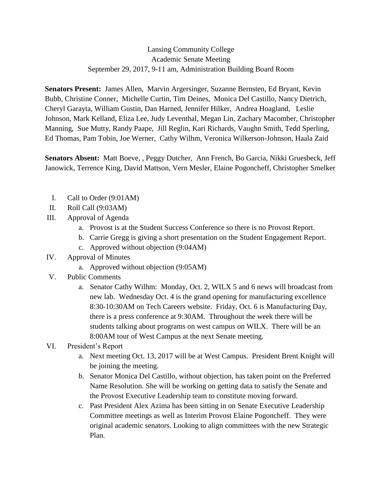## Lansing Community College Academic Senate Meeting September 29, 2017, 9-11 am, Administration Building Board Room

**Senators Present:** James Allen, Marvin Argersinger, Suzanne Bernsten, Ed Bryant, Kevin Bubb, Christine Conner, Michelle Curtin, Tim Deines, Monica Del Castillo, Nancy Dietrich, Cheryl Garayta, William Gustin, Dan Harned, Jennifer Hilker, Andrea Hoagland, Leslie Johnson, Mark Kelland, Eliza Lee, Judy Leventhal, Megan Lin, Zachary Macomber, Christopher Manning, Sue Mutty, Randy Paape, Jill Reglin, Kari Richards, Vaughn Smith, Tedd Sperling, Ed Thomas, Pam Tobin, Joe Werner, Cathy Wilhm, Veronica Wilkerson-Johnson, Haala Zaid

**Senators Absent:** Matt Boeve, , Peggy Dutcher, Ann French, Bo Garcia, Nikki Gruesbeck, Jeff Janowick, Terrence King, David Mattson, Vern Mesler, Elaine Pogoncheff, Christopher Smelker

- I. Call to Order (9:01AM)
- II. Roll Call (9:03AM)
- III. Approval of Agenda
	- a. Provost is at the Student Success Conference so there is no Provost Report.
	- b. Carrie Gregg is giving a short presentation on the Student Engagement Report.
	- c. Approved without objection (9:04AM)
- IV. Approval of Minutes
	- a. Approved without objection (9:05AM)
- V. Public Comments
	- a. Senator Cathy Wilhm: Monday, Oct. 2, WILX 5 and 6 news will broadcast from new lab. Wednesday Oct. 4 is the grand opening for manufacturing excellence 8:30-10:30AM on Tech Careers website. Friday, Oct. 6 is Manufacturing Day, there is a press conference at 9:30AM. Throughout the week there will be students talking about programs on west campus on WILX. There will be an 8:00AM tour of West Campus at the next Senate meeting.
- VI. President's Report
	- a. Next meeting Oct. 13, 2017 will be at West Campus. President Brent Knight will be joining the meeting.
	- b. Senator Monica Del Castillo, without objection, has taken point on the Preferred Name Resolution. She will be working on getting data to satisfy the Senate and the Provost Executive Leadership team to constitute moving forward.
	- c. Past President Alex Azima has been sitting in on Senate Executive Leadership Committee meetings as well as Interim Provost Elaine Pogoncheff. They were original academic senators. Looking to align committees with the new Strategic Plan.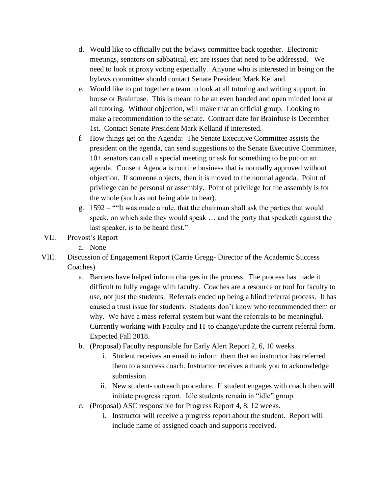- d. Would like to officially put the bylaws committee back together. Electronic meetings, senators on sabbatical, etc are issues that need to be addressed. We need to look at proxy voting especially. Anyone who is interested in being on the bylaws committee should contact Senate President Mark Kelland.
- e. Would like to put together a team to look at all tutoring and writing support, in house or Brainfuse. This is meant to be an even handed and open minded look at all tutoring. Without objection, will make that an official group. Looking to make a recommendation to the senate. Contract date for Brainfuse is December 1st. Contact Senate President Mark Kelland if interested.
- f. How things get on the Agenda: The Senate Executive Committee assists the president on the agenda, can send suggestions to the Senate Executive Committee, 10+ senators can call a special meeting or ask for something to be put on an agenda. Consent Agenda is routine business that is normally approved without objection. If someone objects, then it is moved to the normal agenda. Point of privilege can be personal or assembly. Point of privilege for the assembly is for the whole (such as not being able to hear).
- g. 1592 ""It was made a rule, that the chairman shall ask the parties that would speak, on which side they would speak … and the party that speaketh against the last speaker, is to be heard first."
- VII. Provost's Report
	- a. None
- VIII. Discussion of Engagement Report (Carrie Gregg- Director of the Academic Success Coaches)
	- a. Barriers have helped inform changes in the process. The process has made it difficult to fully engage with faculty. Coaches are a resource or tool for faculty to use, not just the students. Referrals ended up being a blind referral process. It has caused a trust issue for students. Students don't know who recommended them or why. We have a mass referral system but want the referrals to be meaningful. Currently working with Faculty and IT to change/update the current referral form. Expected Fall 2018.
	- b. (Proposal) Faculty responsible for Early Alert Report 2, 6, 10 weeks.
		- i. Student receives an email to inform them that an instructor has referred them to a success coach. Instructor receives a thank you to acknowledge submission.
		- ii. New student- outreach procedure. If student engages with coach then will initiate progress report. Idle students remain in "idle" group.
	- c. (Proposal) ASC responsible for Progress Report 4, 8, 12 weeks.
		- i. Instructor will receive a progress report about the student. Report will include name of assigned coach and supports received.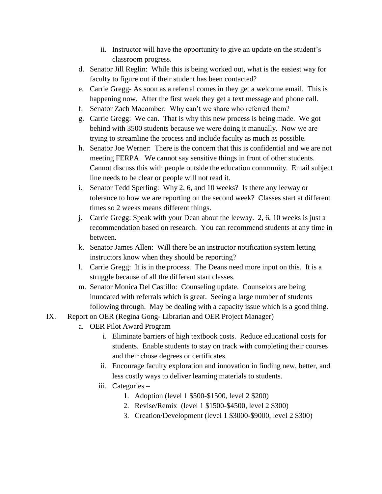- ii. Instructor will have the opportunity to give an update on the student's classroom progress.
- d. Senator Jill Reglin: While this is being worked out, what is the easiest way for faculty to figure out if their student has been contacted?
- e. Carrie Gregg- As soon as a referral comes in they get a welcome email. This is happening now. After the first week they get a text message and phone call.
- f. Senator Zach Macomber: Why can't we share who referred them?
- g. Carrie Gregg: We can. That is why this new process is being made. We got behind with 3500 students because we were doing it manually. Now we are trying to streamline the process and include faculty as much as possible.
- h. Senator Joe Werner: There is the concern that this is confidential and we are not meeting FERPA. We cannot say sensitive things in front of other students. Cannot discuss this with people outside the education community. Email subject line needs to be clear or people will not read it.
- i. Senator Tedd Sperling: Why 2, 6, and 10 weeks? Is there any leeway or tolerance to how we are reporting on the second week? Classes start at different times so 2 weeks means different things.
- j. Carrie Gregg: Speak with your Dean about the leeway. 2, 6, 10 weeks is just a recommendation based on research. You can recommend students at any time in between.
- k. Senator James Allen: Will there be an instructor notification system letting instructors know when they should be reporting?
- l. Carrie Gregg: It is in the process. The Deans need more input on this. It is a struggle because of all the different start classes.
- m. Senator Monica Del Castillo: Counseling update. Counselors are being inundated with referrals which is great. Seeing a large number of students following through. May be dealing with a capacity issue which is a good thing.
- IX. Report on OER (Regina Gong- Librarian and OER Project Manager)
	- a. OER Pilot Award Program
		- i. Eliminate barriers of high textbook costs. Reduce educational costs for students. Enable students to stay on track with completing their courses and their chose degrees or certificates.
		- ii. Encourage faculty exploration and innovation in finding new, better, and less costly ways to deliver learning materials to students.
		- iii. Categories
			- 1. Adoption (level 1 \$500-\$1500, level 2 \$200)
			- 2. Revise/Remix (level 1 \$1500-\$4500, level 2 \$300)
			- 3. Creation/Development (level 1 \$3000-\$9000, level 2 \$300)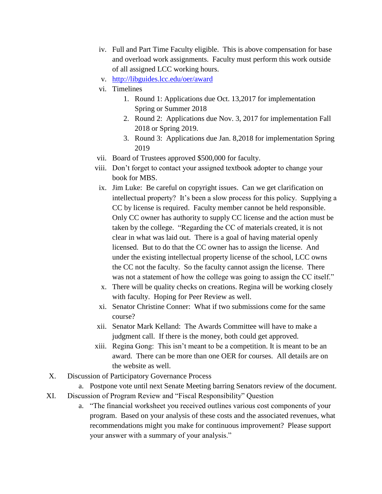- iv. Full and Part Time Faculty eligible. This is above compensation for base and overload work assignments. Faculty must perform this work outside of all assigned LCC working hours.
- v. <http://libguides.lcc.edu/oer/award>
- vi. Timelines
	- 1. Round 1: Applications due Oct. 13,2017 for implementation Spring or Summer 2018
	- 2. Round 2: Applications due Nov. 3, 2017 for implementation Fall 2018 or Spring 2019.
	- 3. Round 3: Applications due Jan. 8,2018 for implementation Spring 2019
- vii. Board of Trustees approved \$500,000 for faculty.
- viii. Don't forget to contact your assigned textbook adopter to change your book for MBS.
- ix. Jim Luke: Be careful on copyright issues. Can we get clarification on intellectual property? It's been a slow process for this policy. Supplying a CC by license is required. Faculty member cannot be held responsible. Only CC owner has authority to supply CC license and the action must be taken by the college. "Regarding the CC of materials created, it is not clear in what was laid out. There is a goal of having material openly licensed. But to do that the CC owner has to assign the license. And under the existing intellectual property license of the school, LCC owns the CC not the faculty. So the faculty cannot assign the license. There was not a statement of how the college was going to assign the CC itself."
- x. There will be quality checks on creations. Regina will be working closely with faculty. Hoping for Peer Review as well.
- xi. Senator Christine Conner: What if two submissions come for the same course?
- xii. Senator Mark Kelland: The Awards Committee will have to make a judgment call. If there is the money, both could get approved.
- xiii. Regina Gong: This isn't meant to be a competition. It is meant to be an award. There can be more than one OER for courses. All details are on the website as well.
- X. Discussion of Participatory Governance Process
	- a. Postpone vote until next Senate Meeting barring Senators review of the document.
- XI. Discussion of Program Review and "Fiscal Responsibility" Question
	- a. "The financial worksheet you received outlines various cost components of your program. Based on your analysis of these costs and the associated revenues, what recommendations might you make for continuous improvement? Please support your answer with a summary of your analysis."